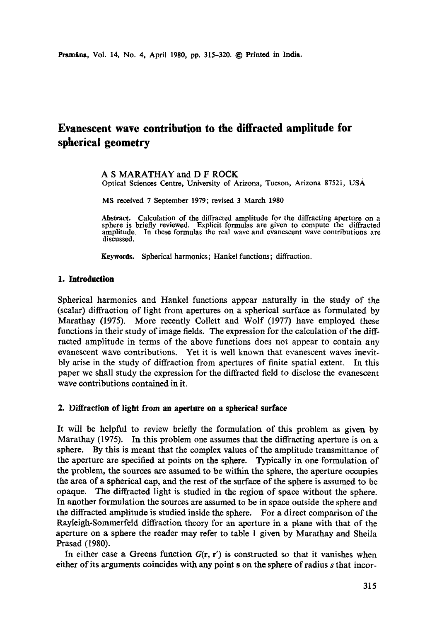# **Evanescent wave contribution to the diffracted amplitude for spherical geometry**

A S MARATHAY and D F ROCK Optical Sciences Centre, University of Arizona, Tucson, Arizona 87521, usA

MS received 7 September 1979; revised 3 March 1980

**Abstract.** Calculation of the diffracted amplitude for the diffracting aperture on a sphere is briefly reviewed. Explicit formulas are given to compute the diffracted amplitude. In these formulas the real wave and evanescent wave contributions are discussed.

**Keywords.** Spherical harmonics; Hankel functions; diffraction.

# **1. Introduction**

Spherical harmonics and Hankel functions appear naturally in the study of the (scalar) diffraction of light from apertures on a spherical surface as formulated by Marathay (1975). More recently Collett and Wolf (1977) have employed these functions in their study of image fields. The expression for the calculation of the diffracted amplitude in terms of the above functions does not appear to contain any evanescent wave contributions. Yet it is well known that evanescent waves inevitbly arise in the study of diffraction from apertures of finite spatial extent. In this paper we shall study the expression for the diffracted field to disclose the evanescent wave contributions contained in it.

# **2. Diffraction of light from an aperture on a spherical surface**

It will be helpful to review briefly the formulation of this problem as given by Marathay (1975). In this problem one assumes that the diffracting aperture is on a sphere. By this is meant that the complex values of the amplitude transmittance of the aperture are specified at points on the sphere. Typically in one formulation of the problem, the sources axe assumed to be within the sphere, the aperture occupies the area of a spherical cap, and the rest of the surface of the sphere is assumed to be opaque. The diffracted light is studied in the region of space without the sphere. In another formulation the sources axe assumed to be in space outside the sphere and the diffracted amplitude is studied inside the sphere. For a direct comparison of the Rayleigh-Sommerfeld diffraction theory for an aperture in a plane with that of the aperture on a sphere the reader may refer to table 1 given by Marathay and Sheila Prasad (1980).

In either case a Greens function  $G(\mathbf{r}, \mathbf{r}')$  is constructed so that it vanishes when either of its arguments coincides with any point s on the sphere of radius s that incor-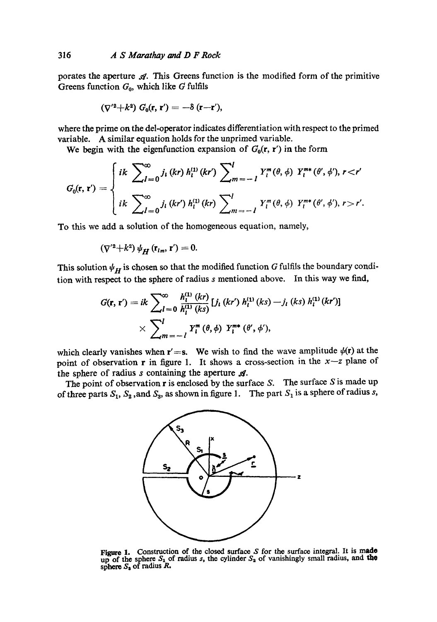# 316 *A S Marathay and D F Rock*

porates the aperture  $\mathcal A$ . This Greens function is the modified form of the primitive Greens function  $G_0$ , which like G fulfils

$$
(\nabla'^2 + k^2) G_0(\mathbf{r}, \mathbf{r}') = -\delta(\mathbf{r} - \mathbf{r}'),
$$

where the prime on the del-operator indicates differentiation with respect to the primed variable. A similar equation holds for the unprimed variable.

We begin with the eigenfunction expansion of  $G_0(r, r')$  in the form

$$
G_0(\mathbf{r}, \mathbf{r}') = \begin{cases} i k \sum_{l=0}^{\infty} j_l \ (kr) \ h_l^{(1)} \ (kr') \sum_{m=-l}^{l} Y_l^m(\theta, \phi) \ Y_l^{m*}(\theta', \phi'), r < r' \\ i k \sum_{l=0}^{\infty} j_l \ (kr') \ h_l^{(1)} \ (kr) \sum_{m=-l}^{l} Y_l^m(\theta, \phi) \ Y_l^{m*}(\theta', \phi'), r > r'. \end{cases}
$$

To this we add a solution of the homogeneous equation, namely,

$$
(\nabla'^2 + k^2) \psi_H(\mathbf{r}_{im}, \mathbf{r}') = 0.
$$

This solution  $\psi_H$  is chosen so that the modified function G fulfils the boundary condition with respect to the sphere of radius s mentioned above. In this way we find,

$$
G(\mathbf{r}, \mathbf{r}') = ik \sum_{l=0}^{\infty} \frac{h_1^{(1)}(kr)}{h_1^{(1)}(ks)} [j_l (kr') h_1^{(1)}(ks) - j_l (ks) h_1^{(1)}(kr')]
$$
  
 
$$
\times \sum_{m=-l}^{l} Y_l^{m} (\theta, \phi) Y_l^{m*} (\theta', \phi'),
$$

which clearly vanishes when r'=s. We wish to find the wave amplitude  $\psi(\mathbf{r})$  at the point of observation r in figure 1. It shows a cross-section in the  $x-z$  plane of the sphere of radius  $s$  containing the aperture  $\mathcal{A}$ .

The point of observation  $r$  is enclosed by the surface S. The surface S is made up of three parts  $S_1$ ,  $S_2$ , and  $S_3$ , as shown in figure 1. The part  $S_1$  is a sphere of radius s,



Figure 1. Construction of the closed surface  $S$  for the surface integral. It is made up of the sphere  $S_1$  of radius s, the cylinder  $S_2$  of vanishingly small radius, and the sphere  $S_3$  of radius  $R_3$ .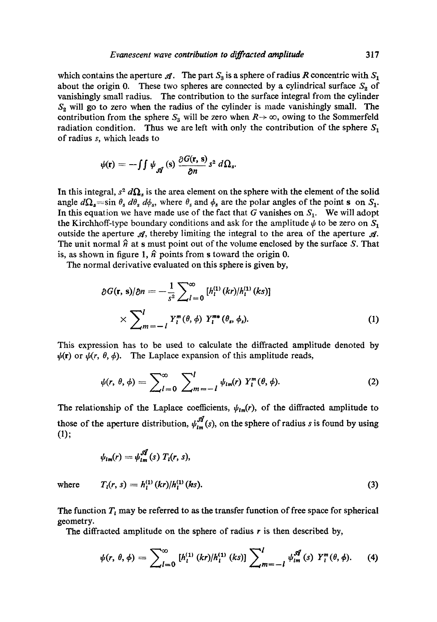which contains the aperture  $\mathcal{A}$ . The part  $S_3$  is a sphere of radius R concentric with  $S_1$ about the origin 0. These two spheres are connected by a cylindrical surface  $S_2$  of vanishingly small radius. The contribution to the surface integral from the cylinder  $S<sub>2</sub>$  will go to zero when the radius of the cylinder is made vanishingly small. The contribution from the sphere  $S_3$  will be zero when  $R \rightarrow \infty$ , owing to the Sommerfeld radiation condition. Thus we are left with only the contribution of the sphere  $S_1$ of radius s, which leads to

$$
\psi(\mathbf{r}) = -\int \int \psi_{\mathcal{A}}(s) \, \frac{\partial G(\mathbf{r}, s)}{\partial n} s^2 \, d\Omega_s.
$$

 $\sim$  $\sim$ 

In this integral,  $s^2 d\Omega_s$  is the area element on the sphere with the element of the solid angle  $d\Omega_s$  = sin  $\theta_s$   $d\theta_s$   $d\phi_s$ , where  $\theta_s$  and  $\phi_s$  are the polar angles of the point s on  $S_1$ . In this equation we have made use of the fact that G vanishes on  $S_1$ . We will adopt the Kirchhoff-type boundary conditions and ask for the amplitude  $\psi$  to be zero on  $S_1$ outside the aperture  $\mathcal{A}$ , thereby limiting the integral to the area of the aperture  $\mathcal{A}$ . The unit normal  $\hat{n}$  at s must point out of the volume enclosed by the surface S. That is, as shown in figure 1,  $\hat{n}$  points from s toward the origin 0.

The normal derivative evaluated on this sphere is given by,

$$
\partial G(\mathbf{r}, \mathbf{s})/\partial n = -\frac{1}{s^2} \sum_{l=0}^{\infty} [h_l^{(1)}(kr)/h_l^{(1)}(ks)]
$$
  
 
$$
\times \sum_{m=-l}^{l} Y_l^{m}(\theta, \phi) Y_l^{m*}(\theta_s, \phi_s).
$$
 (1)

This expression has to be used to calculate the diffracted amplitude denoted by  $\psi(\mathbf{r})$  or  $\psi(r, \theta, \phi)$ . The Laplace expansion of this amplitude reads,

$$
\psi(r, \theta, \phi) = \sum_{l=0}^{\infty} \sum_{m=-l}^{l} \psi_{lm}(r) Y_l^m(\theta, \phi).
$$
 (2)

The relationship of the Laplace coefficients,  $\psi_{lm}(r)$ , of the diffracted amplitude to those of the aperture distribution,  $\psi_{lm}^{\mathscr{A}}(s)$ , on the sphere of radius s is found by using (1);

$$
\psi_{lm}(r)=\psi_{lm}^{\mathscr{A}}(s) T_l(r,s),
$$

where 
$$
T_i(r, s) = h_i^{(1)}(kr)/h_i^{(1)}(ks).
$$
 (3)

The function  $T<sub>l</sub>$  may be referred to as the transfer function of free space for spherical geometry.

The diffracted amplitude on the sphere of radius  $r$  is then described by,

$$
\psi(r, \theta, \phi) = \sum_{l=0}^{\infty} [h_1^{(1)} (kr) / h_1^{(1)} (ks)] \sum_{m=-l}^{l} \psi_{lm}^{\mathscr{A}}(s) Y_l^m(\theta, \phi). \tag{4}
$$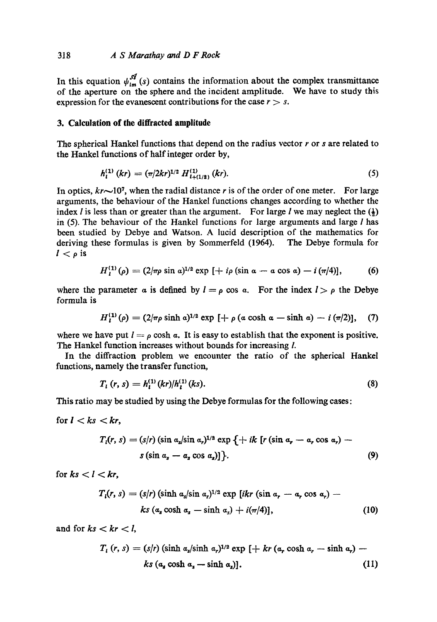# 318 *A S Marathay and D F Rock*

In this equation  $\psi_{lm}^{\mathscr{A}}(s)$  contains the information about the complex transmittance of the aperture on the sphere and the incident amplitude. We have to study this expression for the evanescent contributions for the case  $r > s$ .

### **3. Calculation of the diffracted amplitude**

The spherical Hankel functions that depend on the radius vector  $r$  or  $s$  are related to the Hankel functions of half integer order by,

$$
h_l^{(1)}(kr) = (\pi/2kr)^{1/2} H_{l+(1/2)}^{(1)}(kr). \tag{5}
$$

In optics,  $kr \sim 10$ <sup>7</sup>, when the radial distance r is of the order of one meter. For large arguments, the behaviour of the Hankel functions changes according to whether the index *l* is less than or greater than the argument. For large *l* we may neglect the  $(\frac{1}{2})$ in (5). The behaviour of the Hankel functions for large arguments and large I has been studied by Debye and Watson. A lucid description of the mathematics for deriving these formulas is given by Sommerfeld (1964). The Debye formula for  $l < \rho$  is

$$
H_1^{(1)}(\rho) = (2/\pi \rho \sin \alpha)^{1/2} \exp [ + i\rho (\sin \alpha - \alpha \cos \alpha) - i (\pi/4)], \qquad (6)
$$

where the parameter a is defined by  $l = \rho \cos \alpha$ . For the index  $l > \rho$  the Debye formula is

$$
H_1^{(1)}(\rho)=(2/\pi\rho\sinh\alpha)^{1/2}\exp\left[+\rho\left(\alpha\cosh\alpha-\sinh\alpha\right)-i\left(\pi/2\right)\right],\quad (7)
$$

where we have put  $l = \rho \cosh \alpha$ . It is easy to establish that the exponent is positive. The Hankel function increases without bounds for increasing I.

In the diffraction problem we encounter the ratio of the spherical Hankel functions, namely the transfer function,

$$
T_{l}(r,s) = h_{l}^{(1)}(kr)/h_{l}^{(1)}(ks).
$$
\n(8)

This ratio may be studied by using the Debye formulas for the following cases:

for  $l < ks < kr$ ,

$$
T_i(r, s) = (s/r) (\sin \alpha_s / \sin \alpha_r)^{1/2} \exp \left\{ + ik \left[ r (\sin \alpha_r - \alpha_r \cos \alpha_r) - s (\sin \alpha_s - \alpha_s \cos \alpha_s) \right] \right\}.
$$
 (9)

for  $ks < l < kr$ ,

$$
T_i(r, s) = (s/r) (\sinh a_s / \sin a_r)^{1/2} \exp [ikr (\sin a_r - a_r \cos a_r) -
$$
  

$$
ks (a_s \cosh a_s - \sinh a_s) + i(\pi/4)],
$$
 (10)

and for  $ks < kr < l$ ,

$$
T_t(r, s) = (s/r) (\sinh a_s/\sinh a_r)^{1/2} \exp [+kr (a_r \cosh a_r - \sinh a_r) -
$$
  

$$
ks (a_s \cosh a_s - \sinh a_s)].
$$
 (11)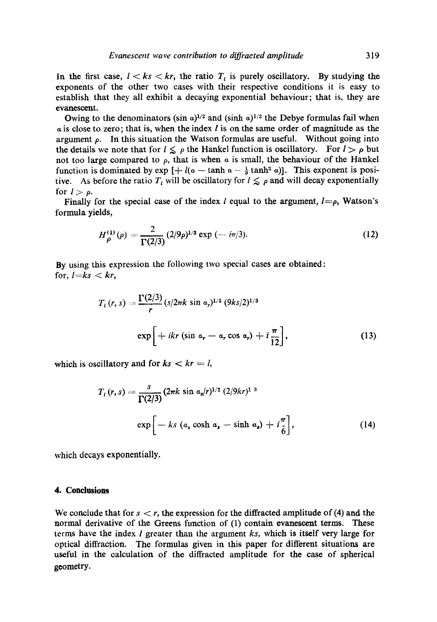In the first case,  $l < ks < kr$ , the ratio  $T_l$  is purely oscillatory. By studying the exponents of the other two cases with their respective conditions it is easy to establish that they all exhibit a decaying exponential behaviour; that is, they are evanescent.

Owing to the denominators (sin  $a$ )<sup>1/2</sup> and (sinh  $a$ )<sup>1/2</sup> the Debye formulas fail when  $\alpha$  is close to zero; that is, when the index l is on the same order of magnitude as the argument  $\rho$ . In this situation the Watson formulas are useful. Without going into the details we note that for  $l \leq \rho$  the Hankel function is oscillatory. For  $l > \rho$  but not too large compared to  $\rho$ , that is when  $\alpha$  is small, the behaviour of the Hankel function is dominated by  $\exp \left[ + l(a - \tanh a - \frac{1}{3} \tanh^3 a) \right]$ . This exponent is positive. As before the ratio  $T_t$  will be oscillatory for  $1 \leq \rho$  and will decay exponentially for  $l > \rho$ .

Finally for the special case of the index l equal to the argument,  $l=p$ , Watson's formula yields,

$$
H_{\rho}^{(1)}(\rho) = \frac{2}{\Gamma(2/3)} (2/9\rho)^{1/3} \exp(-i\pi/3).
$$
 (12)

By using this expression the following two special cases are obtained: for,  $l=ks < kr$ ,

$$
T_{i}(r, s) = \frac{\Gamma(2/3)}{r} (s/2\pi k \sin \alpha_{r})^{1/2} (9ks/2)^{1/3}
$$

$$
\exp\left[ + ikr (\sin \alpha_{r} - \alpha_{r} \cos \alpha_{r}) + i\frac{\pi}{12} \right],
$$
(13)

which is oscillatory and for  $ks < kr = l$ ,

$$
T_{t}(r,s) = \frac{s}{\Gamma(2/3)} (2\pi k \sin \alpha_{s}/r)^{1/2} (2/9kr)^{1/3}
$$
  
exp  $\left[ -ks \left( \alpha_{s} \cosh \alpha_{s} - \sinh \alpha_{s} \right) + i \frac{\pi}{6} \right],$  (14)

which decays exponentially.

# **4. Conclusions**

We conclude that for  $s < r$ , the expression for the diffracted amplitude of (4) and the normal derivative of the Greens function of (1) contain evanescent terms. These terms have the index I greater than the argument *ks,* which is itself very large for optical diffraction. The formulas given in this paper for different situations are useful in the calculation of the diffracted amplitude for the case of spherical geometry.